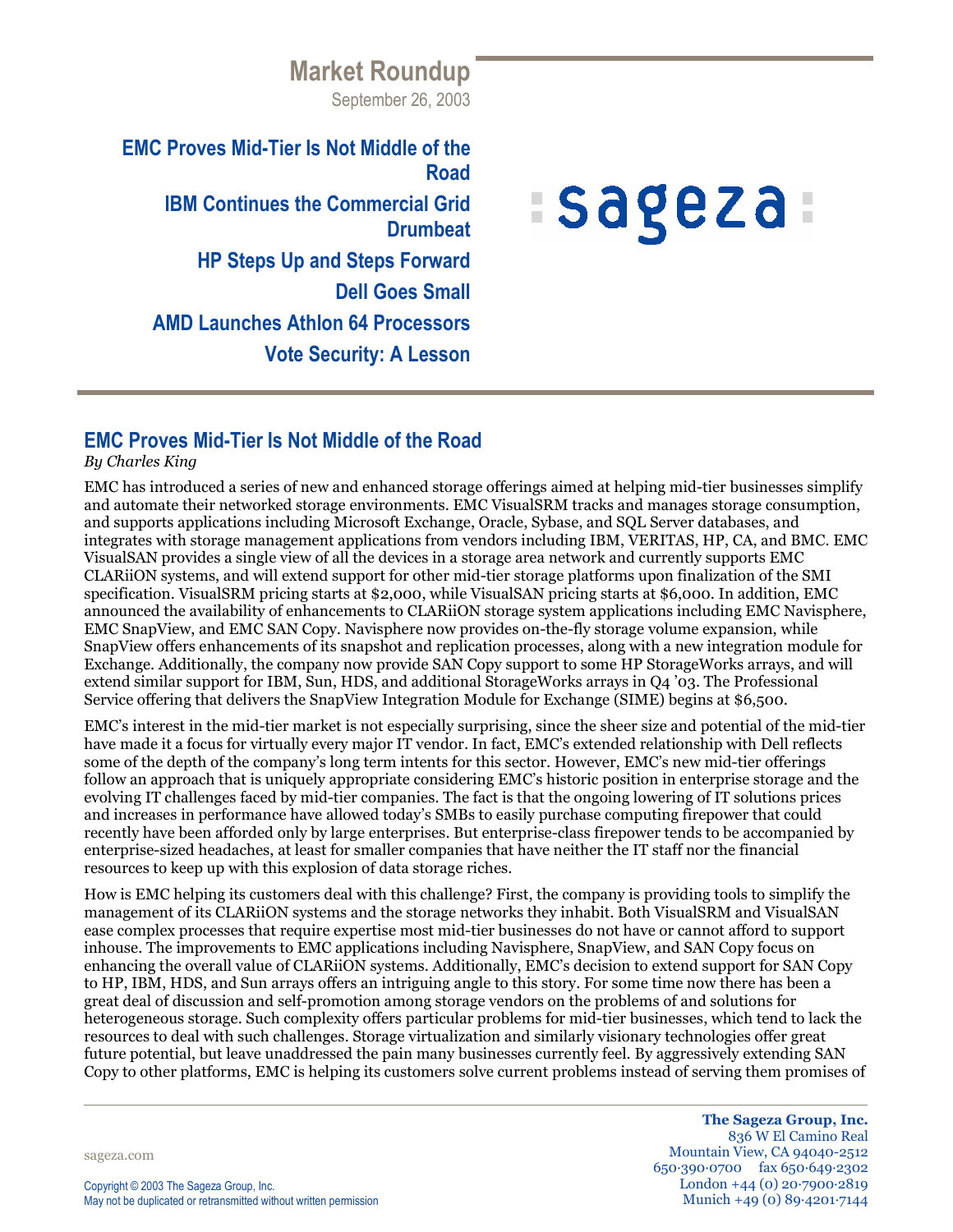**Market Roundup** September 26, 2003

**EMC Proves Mid-Tier Is Not Middle of the Road IBM Continues the Commercial Grid Drumbeat HP Steps Up and Steps Forward Dell Goes Small AMD Launches Athlon 64 Processors Vote Security: A Lesson**

# **Sageza**

## **EMC Proves Mid-Tier Is Not Middle of the Road**

### *By Charles King*

EMC has introduced a series of new and enhanced storage offerings aimed at helping mid-tier businesses simplify and automate their networked storage environments. EMC VisualSRM tracks and manages storage consumption, and supports applications including Microsoft Exchange, Oracle, Sybase, and SQL Server databases, and integrates with storage management applications from vendors including IBM, VERITAS, HP, CA, and BMC. EMC VisualSAN provides a single view of all the devices in a storage area network and currently supports EMC CLARiiON systems, and will extend support for other mid-tier storage platforms upon finalization of the SMI specification. VisualSRM pricing starts at \$2,000, while VisualSAN pricing starts at \$6,000. In addition, EMC announced the availability of enhancements to CLARiiON storage system applications including EMC Navisphere, EMC SnapView, and EMC SAN Copy. Navisphere now provides on-the-fly storage volume expansion, while SnapView offers enhancements of its snapshot and replication processes, along with a new integration module for Exchange. Additionally, the company now provide SAN Copy support to some HP StorageWorks arrays, and will extend similar support for IBM, Sun, HDS, and additional StorageWorks arrays in Q4 '03. The Professional Service offering that delivers the SnapView Integration Module for Exchange (SIME) begins at \$6,500.

EMC's interest in the mid-tier market is not especially surprising, since the sheer size and potential of the mid-tier have made it a focus for virtually every major IT vendor. In fact, EMC's extended relationship with Dell reflects some of the depth of the company's long term intents for this sector. However, EMC's new mid-tier offerings follow an approach that is uniquely appropriate considering EMC's historic position in enterprise storage and the evolving IT challenges faced by mid-tier companies. The fact is that the ongoing lowering of IT solutions prices and increases in performance have allowed today's SMBs to easily purchase computing firepower that could recently have been afforded only by large enterprises. But enterprise-class firepower tends to be accompanied by enterprise-sized headaches, at least for smaller companies that have neither the IT staff nor the financial resources to keep up with this explosion of data storage riches.

How is EMC helping its customers deal with this challenge? First, the company is providing tools to simplify the management of its CLARiiON systems and the storage networks they inhabit. Both VisualSRM and VisualSAN ease complex processes that require expertise most mid-tier businesses do not have or cannot afford to support inhouse. The improvements to EMC applications including Navisphere, SnapView, and SAN Copy focus on enhancing the overall value of CLARiiON systems. Additionally, EMC's decision to extend support for SAN Copy to HP, IBM, HDS, and Sun arrays offers an intriguing angle to this story. For some time now there has been a great deal of discussion and self-promotion among storage vendors on the problems of and solutions for heterogeneous storage. Such complexity offers particular problems for mid-tier businesses, which tend to lack the resources to deal with such challenges. Storage virtualization and similarly visionary technologies offer great future potential, but leave unaddressed the pain many businesses currently feel. By aggressively extending SAN Copy to other platforms, EMC is helping its customers solve current problems instead of serving them promises of

sageza.com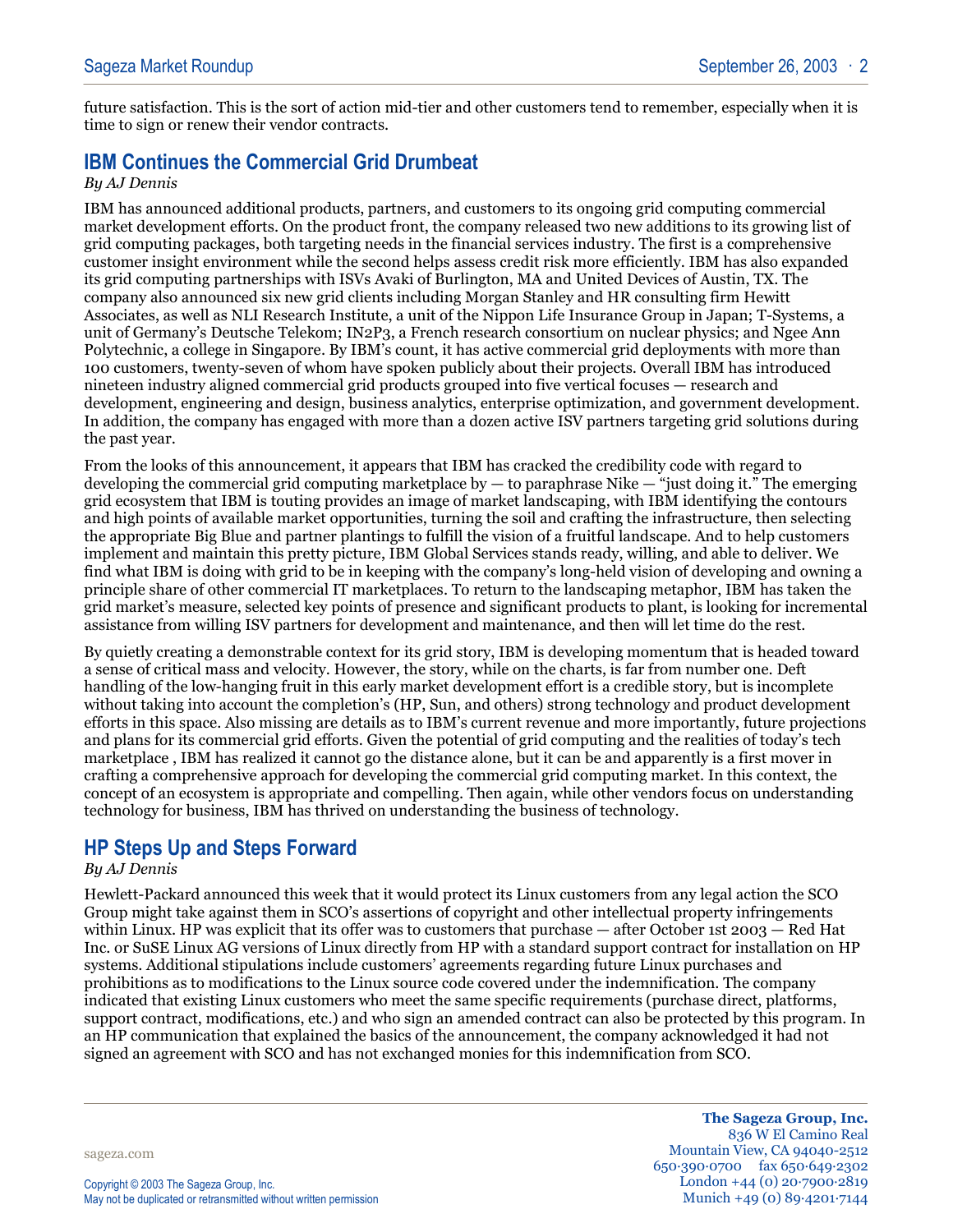future satisfaction. This is the sort of action mid-tier and other customers tend to remember, especially when it is time to sign or renew their vendor contracts.

## **IBM Continues the Commercial Grid Drumbeat**

#### *By AJ Dennis*

IBM has announced additional products, partners, and customers to its ongoing grid computing commercial market development efforts. On the product front, the company released two new additions to its growing list of grid computing packages, both targeting needs in the financial services industry. The first is a comprehensive customer insight environment while the second helps assess credit risk more efficiently. IBM has also expanded its grid computing partnerships with ISVs Avaki of Burlington, MA and United Devices of Austin, TX. The company also announced six new grid clients including Morgan Stanley and HR consulting firm Hewitt Associates, as well as NLI Research Institute, a unit of the Nippon Life Insurance Group in Japan; T-Systems, a unit of Germany's Deutsche Telekom; IN2P3, a French research consortium on nuclear physics; and Ngee Ann Polytechnic, a college in Singapore. By IBM's count, it has active commercial grid deployments with more than 100 customers, twenty-seven of whom have spoken publicly about their projects. Overall IBM has introduced nineteen industry aligned commercial grid products grouped into five vertical focuses — research and development, engineering and design, business analytics, enterprise optimization, and government development. In addition, the company has engaged with more than a dozen active ISV partners targeting grid solutions during the past year.

From the looks of this announcement, it appears that IBM has cracked the credibility code with regard to developing the commercial grid computing marketplace by  $-$  to paraphrase Nike  $-$  "just doing it." The emerging grid ecosystem that IBM is touting provides an image of market landscaping, with IBM identifying the contours and high points of available market opportunities, turning the soil and crafting the infrastructure, then selecting the appropriate Big Blue and partner plantings to fulfill the vision of a fruitful landscape. And to help customers implement and maintain this pretty picture, IBM Global Services stands ready, willing, and able to deliver. We find what IBM is doing with grid to be in keeping with the company's long-held vision of developing and owning a principle share of other commercial IT marketplaces. To return to the landscaping metaphor, IBM has taken the grid market's measure, selected key points of presence and significant products to plant, is looking for incremental assistance from willing ISV partners for development and maintenance, and then will let time do the rest.

By quietly creating a demonstrable context for its grid story, IBM is developing momentum that is headed toward a sense of critical mass and velocity. However, the story, while on the charts, is far from number one. Deft handling of the low-hanging fruit in this early market development effort is a credible story, but is incomplete without taking into account the completion's (HP, Sun, and others) strong technology and product development efforts in this space. Also missing are details as to IBM's current revenue and more importantly, future projections and plans for its commercial grid efforts. Given the potential of grid computing and the realities of today's tech marketplace , IBM has realized it cannot go the distance alone, but it can be and apparently is a first mover in crafting a comprehensive approach for developing the commercial grid computing market. In this context, the concept of an ecosystem is appropriate and compelling. Then again, while other vendors focus on understanding technology for business, IBM has thrived on understanding the business of technology.

## **HP Steps Up and Steps Forward**

#### *By AJ Dennis*

Hewlett-Packard announced this week that it would protect its Linux customers from any legal action the SCO Group might take against them in SCO's assertions of copyright and other intellectual property infringements within Linux. HP was explicit that its offer was to customers that purchase — after October 1st 2003 — Red Hat Inc. or SuSE Linux AG versions of Linux directly from HP with a standard support contract for installation on HP systems. Additional stipulations include customers' agreements regarding future Linux purchases and prohibitions as to modifications to the Linux source code covered under the indemnification. The company indicated that existing Linux customers who meet the same specific requirements (purchase direct, platforms, support contract, modifications, etc.) and who sign an amended contract can also be protected by this program. In an HP communication that explained the basics of the announcement, the company acknowledged it had not signed an agreement with SCO and has not exchanged monies for this indemnification from SCO.

sageza.com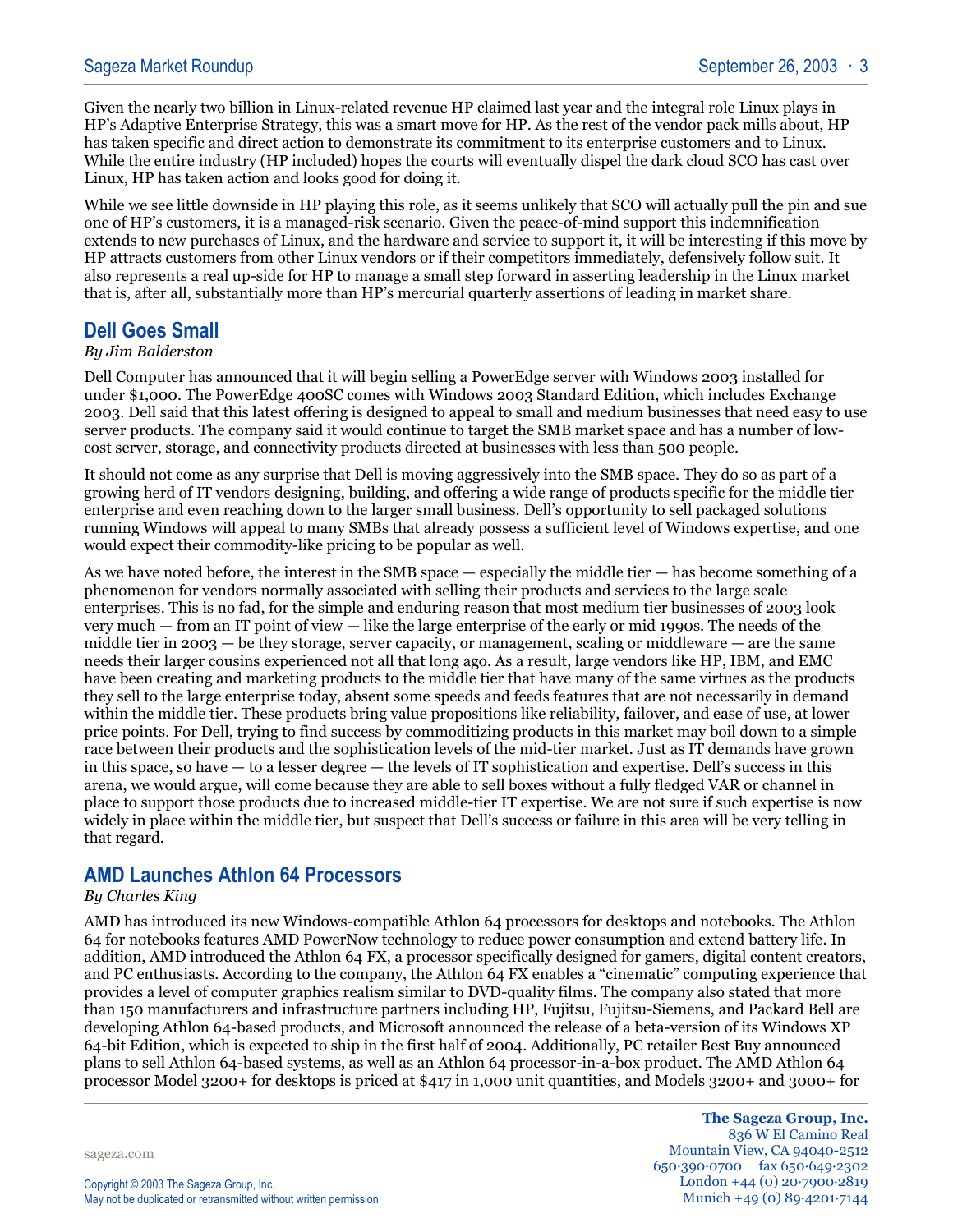Given the nearly two billion in Linux-related revenue HP claimed last year and the integral role Linux plays in HP's Adaptive Enterprise Strategy, this was a smart move for HP. As the rest of the vendor pack mills about, HP has taken specific and direct action to demonstrate its commitment to its enterprise customers and to Linux. While the entire industry (HP included) hopes the courts will eventually dispel the dark cloud SCO has cast over Linux, HP has taken action and looks good for doing it.

While we see little downside in HP playing this role, as it seems unlikely that SCO will actually pull the pin and sue one of HP's customers, it is a managed-risk scenario. Given the peace-of-mind support this indemnification extends to new purchases of Linux, and the hardware and service to support it, it will be interesting if this move by HP attracts customers from other Linux vendors or if their competitors immediately, defensively follow suit. It also represents a real up-side for HP to manage a small step forward in asserting leadership in the Linux market that is, after all, substantially more than HP's mercurial quarterly assertions of leading in market share.

## **Dell Goes Small**

#### *By Jim Balderston*

Dell Computer has announced that it will begin selling a PowerEdge server with Windows 2003 installed for under \$1,000. The PowerEdge 400SC comes with Windows 2003 Standard Edition, which includes Exchange 2003. Dell said that this latest offering is designed to appeal to small and medium businesses that need easy to use server products. The company said it would continue to target the SMB market space and has a number of lowcost server, storage, and connectivity products directed at businesses with less than 500 people.

It should not come as any surprise that Dell is moving aggressively into the SMB space. They do so as part of a growing herd of IT vendors designing, building, and offering a wide range of products specific for the middle tier enterprise and even reaching down to the larger small business. Dell's opportunity to sell packaged solutions running Windows will appeal to many SMBs that already possess a sufficient level of Windows expertise, and one would expect their commodity-like pricing to be popular as well.

As we have noted before, the interest in the SMB space — especially the middle tier — has become something of a phenomenon for vendors normally associated with selling their products and services to the large scale enterprises. This is no fad, for the simple and enduring reason that most medium tier businesses of 2003 look very much — from an IT point of view — like the large enterprise of the early or mid 1990s. The needs of the middle tier in  $2003 - b$  ethey storage, server capacity, or management, scaling or middleware  $-\overline{a}$  are the same needs their larger cousins experienced not all that long ago. As a result, large vendors like HP, IBM, and EMC have been creating and marketing products to the middle tier that have many of the same virtues as the products they sell to the large enterprise today, absent some speeds and feeds features that are not necessarily in demand within the middle tier. These products bring value propositions like reliability, failover, and ease of use, at lower price points. For Dell, trying to find success by commoditizing products in this market may boil down to a simple race between their products and the sophistication levels of the mid-tier market. Just as IT demands have grown in this space, so have — to a lesser degree — the levels of IT sophistication and expertise. Dell's success in this arena, we would argue, will come because they are able to sell boxes without a fully fledged VAR or channel in place to support those products due to increased middle-tier IT expertise. We are not sure if such expertise is now widely in place within the middle tier, but suspect that Dell's success or failure in this area will be very telling in that regard.

## **AMD Launches Athlon 64 Processors**

#### *By Charles King*

AMD has introduced its new Windows-compatible Athlon 64 processors for desktops and notebooks. The Athlon 64 for notebooks features AMD PowerNow technology to reduce power consumption and extend battery life. In addition, AMD introduced the Athlon 64 FX, a processor specifically designed for gamers, digital content creators, and PC enthusiasts. According to the company, the Athlon 64 FX enables a "cinematic" computing experience that provides a level of computer graphics realism similar to DVD-quality films. The company also stated that more than 150 manufacturers and infrastructure partners including HP, Fujitsu, Fujitsu-Siemens, and Packard Bell are developing Athlon 64-based products, and Microsoft announced the release of a beta-version of its Windows XP 64-bit Edition, which is expected to ship in the first half of 2004. Additionally, PC retailer Best Buy announced plans to sell Athlon 64-based systems, as well as an Athlon 64 processor-in-a-box product. The AMD Athlon 64 processor Model 3200+ for desktops is priced at \$417 in 1,000 unit quantities, and Models 3200+ and 3000+ for

sageza.com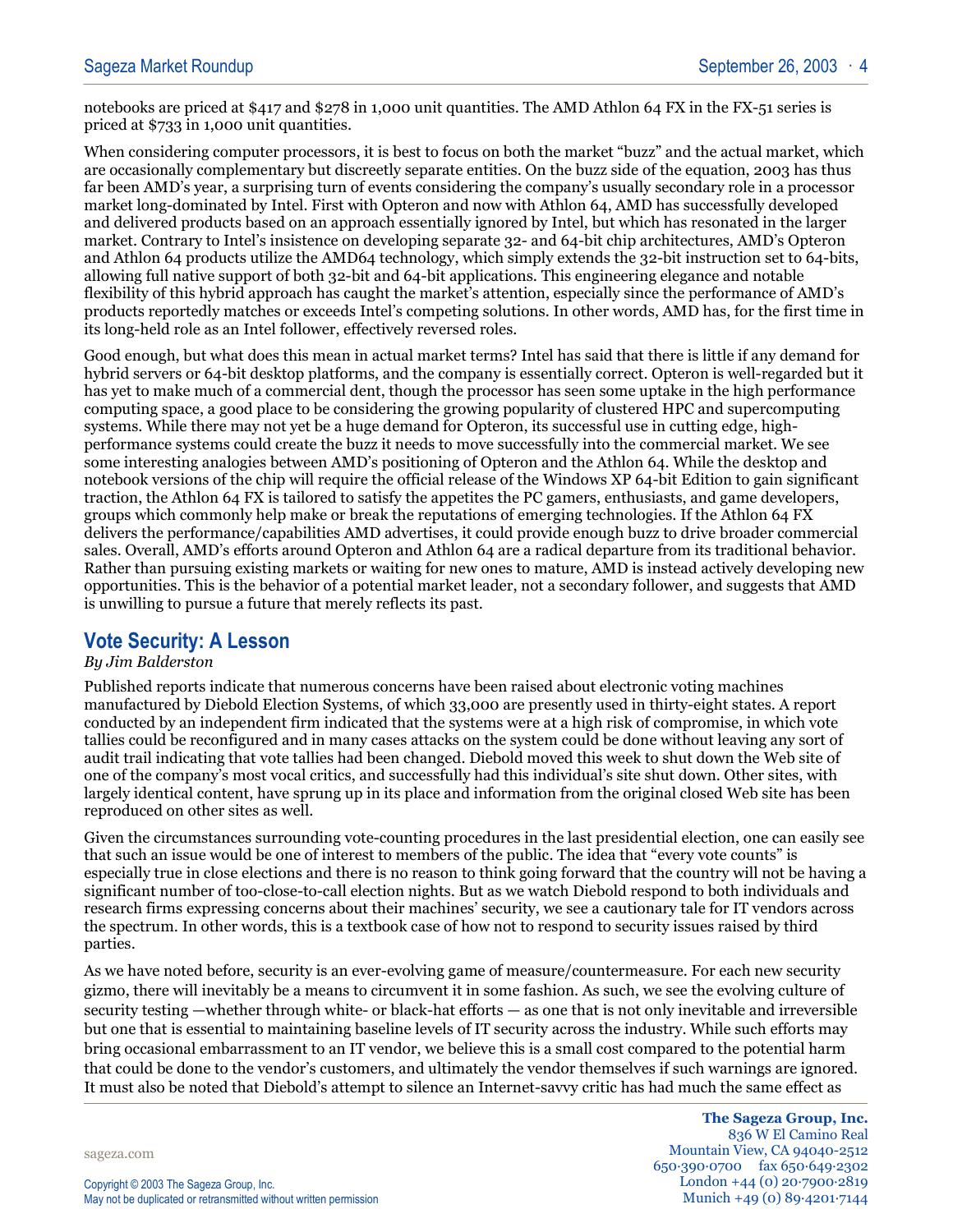notebooks are priced at \$417 and \$278 in 1,000 unit quantities. The AMD Athlon 64 FX in the FX-51 series is priced at \$733 in 1,000 unit quantities.

When considering computer processors, it is best to focus on both the market "buzz" and the actual market, which are occasionally complementary but discreetly separate entities. On the buzz side of the equation, 2003 has thus far been AMD's year, a surprising turn of events considering the company's usually secondary role in a processor market long-dominated by Intel. First with Opteron and now with Athlon 64, AMD has successfully developed and delivered products based on an approach essentially ignored by Intel, but which has resonated in the larger market. Contrary to Intel's insistence on developing separate 32- and 64-bit chip architectures, AMD's Opteron and Athlon 64 products utilize the AMD64 technology, which simply extends the 32-bit instruction set to 64-bits, allowing full native support of both 32-bit and 64-bit applications. This engineering elegance and notable flexibility of this hybrid approach has caught the market's attention, especially since the performance of AMD's products reportedly matches or exceeds Intel's competing solutions. In other words, AMD has, for the first time in its long-held role as an Intel follower, effectively reversed roles.

Good enough, but what does this mean in actual market terms? Intel has said that there is little if any demand for hybrid servers or 64-bit desktop platforms, and the company is essentially correct. Opteron is well-regarded but it has yet to make much of a commercial dent, though the processor has seen some uptake in the high performance computing space, a good place to be considering the growing popularity of clustered HPC and supercomputing systems. While there may not yet be a huge demand for Opteron, its successful use in cutting edge, highperformance systems could create the buzz it needs to move successfully into the commercial market. We see some interesting analogies between AMD's positioning of Opteron and the Athlon 64. While the desktop and notebook versions of the chip will require the official release of the Windows XP 64-bit Edition to gain significant traction, the Athlon 64 FX is tailored to satisfy the appetites the PC gamers, enthusiasts, and game developers, groups which commonly help make or break the reputations of emerging technologies. If the Athlon 64 FX delivers the performance/capabilities AMD advertises, it could provide enough buzz to drive broader commercial sales. Overall, AMD's efforts around Opteron and Athlon 64 are a radical departure from its traditional behavior. Rather than pursuing existing markets or waiting for new ones to mature, AMD is instead actively developing new opportunities. This is the behavior of a potential market leader, not a secondary follower, and suggests that AMD is unwilling to pursue a future that merely reflects its past.

## **Vote Security: A Lesson**

#### *By Jim Balderston*

Published reports indicate that numerous concerns have been raised about electronic voting machines manufactured by Diebold Election Systems, of which 33,000 are presently used in thirty-eight states. A report conducted by an independent firm indicated that the systems were at a high risk of compromise, in which vote tallies could be reconfigured and in many cases attacks on the system could be done without leaving any sort of audit trail indicating that vote tallies had been changed. Diebold moved this week to shut down the Web site of one of the company's most vocal critics, and successfully had this individual's site shut down. Other sites, with largely identical content, have sprung up in its place and information from the original closed Web site has been reproduced on other sites as well.

Given the circumstances surrounding vote-counting procedures in the last presidential election, one can easily see that such an issue would be one of interest to members of the public. The idea that "every vote counts" is especially true in close elections and there is no reason to think going forward that the country will not be having a significant number of too-close-to-call election nights. But as we watch Diebold respond to both individuals and research firms expressing concerns about their machines' security, we see a cautionary tale for IT vendors across the spectrum. In other words, this is a textbook case of how not to respond to security issues raised by third parties.

As we have noted before, security is an ever-evolving game of measure/countermeasure. For each new security gizmo, there will inevitably be a means to circumvent it in some fashion. As such, we see the evolving culture of security testing —whether through white- or black-hat efforts — as one that is not only inevitable and irreversible but one that is essential to maintaining baseline levels of IT security across the industry. While such efforts may bring occasional embarrassment to an IT vendor, we believe this is a small cost compared to the potential harm that could be done to the vendor's customers, and ultimately the vendor themselves if such warnings are ignored. It must also be noted that Diebold's attempt to silence an Internet-savvy critic has had much the same effect as

sageza.com